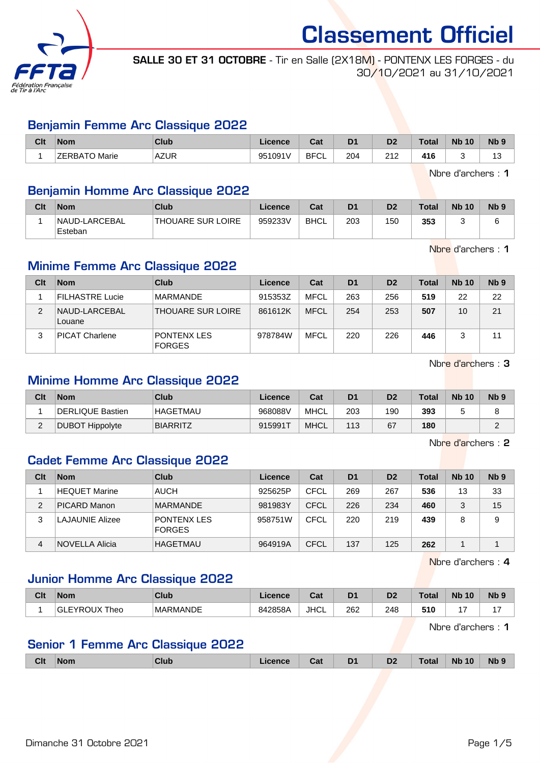

SALLE 30 ET 31 OCTOBRE - Tir en Salle (2X18M) - PONTENX LES FORGES - du 30/10/2021 au 31/10/2021

#### Benjamin Femme Arc Classique 2022

| Clt | <b>Nom</b>    | Club              | Licence | <b>Take</b><br>⊍aι | D <sub>1</sub> | D <sub>2</sub> | Total | <b>N<sub>b</sub></b><br>10 | N <sub>b</sub> <sub>9</sub> |
|-----|---------------|-------------------|---------|--------------------|----------------|----------------|-------|----------------------------|-----------------------------|
|     | ZERBATO Marie | AZUR <sup>®</sup> | 951091V | <b>BFCI</b><br>◡∟  | 204            | 242<br>2 I Z   | 416   |                            | $\sim$<br>ں ،               |

Nbre d'archers : 1

## Benjamin Homme Arc Classique 2022

| Clt | <b>Nom</b>               | Club               | Licence | Cat         | D <sub>1</sub> | D <sub>2</sub> | Total | <b>Nb 10</b> | N <sub>b</sub> <sub>9</sub> |
|-----|--------------------------|--------------------|---------|-------------|----------------|----------------|-------|--------------|-----------------------------|
|     | NAUD-LARCEBAL<br>Esteban | 'THOUARE SUR LOIRE | 959233V | <b>BHCL</b> | 203            | 150            | 353   |              |                             |

Nbre d'archers : 1

## Minime Femme Arc Classique 2022

| Clt | <b>Nom</b>              | Club                                | Licence | Cat         | D <sub>1</sub> | D <sub>2</sub> | <b>Total</b> | <b>Nb 10</b> | Nb <sub>9</sub> |
|-----|-------------------------|-------------------------------------|---------|-------------|----------------|----------------|--------------|--------------|-----------------|
|     | <b>FILHASTRE Lucie</b>  | <b>MARMANDE</b>                     | 915353Z | MFCL        | 263            | 256            | 519          | 22           | 22              |
| 2   | NAUD-LARCEBAL<br>Louane | <b>THOUARE SUR LOIRE</b>            | 861612K | <b>MFCL</b> | 254            | 253            | 507          | 10           | 21              |
| 3   | <b>PICAT Charlene</b>   | <b>PONTENX LES</b><br><b>FORGES</b> | 978784W | <b>MFCL</b> | 220            | 226            | 446          |              |                 |

Nbre d'archers : 3

## Minime Homme Arc Classique 2022

| Clt | <b>Nom</b>       | Club            | Licence | Cat         | D <sub>1</sub> | D <sub>2</sub> | <b>Total</b> | <b>Nb 10</b> | N <sub>b</sub> 9 |
|-----|------------------|-----------------|---------|-------------|----------------|----------------|--------------|--------------|------------------|
|     | DERLIQUE Bastien | <b>HAGETMAU</b> | 968088V | <b>MHCL</b> | 203            | 190            | 393          |              |                  |
| -   | DUBOT Hippolyte  | <b>BIARRITZ</b> | 915991T | <b>MHCL</b> | 113            | 67             | 180          |              |                  |

Nbre d'archers : 2

## Cadet Femme Arc Classique 2022

| Clt | <b>Nom</b>      | Club                                | Licence | Cat  | D <sub>1</sub> | D <sub>2</sub> | <b>Total</b> | <b>Nb 10</b> | Nb <sub>9</sub> |
|-----|-----------------|-------------------------------------|---------|------|----------------|----------------|--------------|--------------|-----------------|
|     | HEQUET Marine   | <b>AUCH</b>                         | 925625P | CFCL | 269            | 267            | 536          | 13           | 33              |
| 2   | PICARD Manon    | <b>MARMANDE</b>                     | 981983Y | CFCL | 226            | 234            | 460          |              | 15              |
| 3   | LAJAUNIE Alizee | <b>PONTENX LES</b><br><b>FORGES</b> | 958751W | CFCL | 220            | 219            | 439          |              | 9               |
| 4   | NOVELLA Alicia  | HAGETMAU                            | 964919A | CFCL | 137            | 125            | 262          |              |                 |

Nbre d'archers : 4

### Junior Homme Arc Classique 2022

| Clt | <b>Nom</b>          | Club            | <b>Licence</b> | <b>Cat</b><br><b>vd</b> t | D <sub>1</sub> | D2  | <b>Total</b> | <b>N<sub>k</sub></b><br>10 | Nb <sub>9</sub> |
|-----|---------------------|-----------------|----------------|---------------------------|----------------|-----|--------------|----------------------------|-----------------|
|     | EYROUX Theo<br>'GLE | <b>MARMANDE</b> | 842858A        | JHCL                      | 262            | 248 | 510          | $\overline{\phantom{0}}$   | . –             |

Nbre d'archers : 1

## Senior 1 Femme Arc Classique 2022

| <b>Clt</b><br>D <sub>2</sub><br>Cat<br>D <sub>1</sub><br><b>Nb</b> 10<br>Nb <sub>9</sub><br>Total<br>$\mathsf{Nom}$<br>Club<br>Licence |  |  |  |  |  |
|----------------------------------------------------------------------------------------------------------------------------------------|--|--|--|--|--|
|                                                                                                                                        |  |  |  |  |  |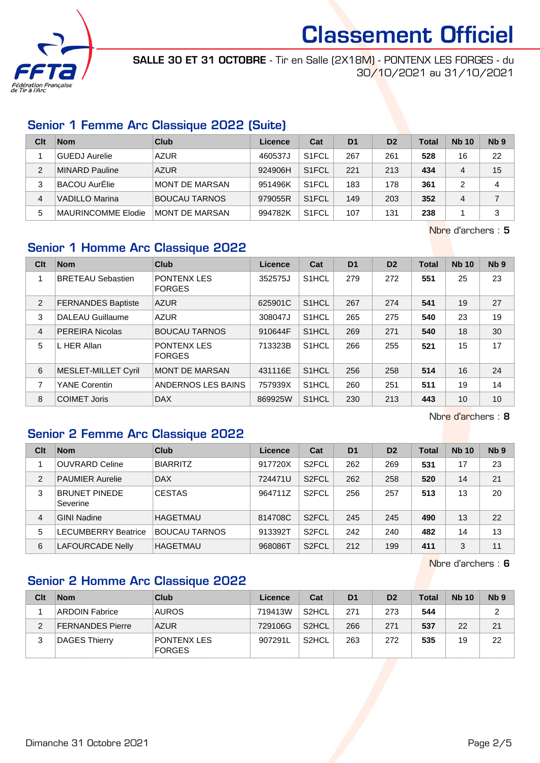

SALLE 30 ET 31 OCTOBRE - Tir en Salle (2X18M) - PONTENX LES FORGES - du 30/10/2021 au 31/10/2021

## Senior 1 Femme Arc Classique 2022 (Suite)

| Clt | <b>Nom</b>           | Club                  | Licence | Cat                | D <sub>1</sub> | D <sub>2</sub> | <b>Total</b> | <b>Nb 10</b> | N <sub>b</sub> <sub>9</sub> |
|-----|----------------------|-----------------------|---------|--------------------|----------------|----------------|--------------|--------------|-----------------------------|
|     | <b>GUEDJ</b> Aurelie | <b>AZUR</b>           | 460537J | S <sub>1</sub> FCL | 267            | 261            | 528          | 16           | 22                          |
| 2   | MINARD Pauline       | <b>AZUR</b>           | 924906H | S <sub>1</sub> FCL | 221            | 213            | 434          | 4            | 15                          |
| 3   | BACOU AurElie        | <b>MONT DE MARSAN</b> | 951496K | S <sub>1</sub> FCL | 183            | 178            | 361          |              | 4                           |
| 4   | VADILLO Marina       | <b>BOUCAU TARNOS</b>  | 979055R | S <sub>1</sub> FCL | 149            | 203            | 352          | 4            |                             |
| 5   | MAURINCOMME Elodie   | MONT DE MARSAN        | 994782K | S <sub>1</sub> FCL | 107            | 131            | 238          |              | 3                           |

Nbre d'archers : 5

## Senior 1 Homme Arc Classique 2022

| Clt            | <b>Nom</b>                | <b>Club</b>                         | Licence | Cat                | D <sub>1</sub> | D <sub>2</sub> | <b>Total</b> | <b>Nb 10</b> | Nb <sub>9</sub> |
|----------------|---------------------------|-------------------------------------|---------|--------------------|----------------|----------------|--------------|--------------|-----------------|
|                | <b>BRETEAU Sebastien</b>  | <b>PONTENX LES</b><br><b>FORGES</b> | 352575J | S <sub>1</sub> HCL | 279            | 272            | 551          | 25           | 23              |
| 2              | <b>FERNANDES Baptiste</b> | <b>AZUR</b>                         | 625901C | S1HCL              | 267            | 274            | 541          | 19           | 27              |
| 3              | DALEAU Guillaume          | <b>AZUR</b>                         | 308047J | S <sub>1</sub> HCL | 265            | 275            | 540          | 23           | 19              |
| $\overline{4}$ | <b>PEREIRA Nicolas</b>    | <b>BOUCAU TARNOS</b>                | 910644F | S <sub>1</sub> HCL | 269            | 271            | 540          | 18           | 30              |
| 5              | L HER Allan               | PONTENX LES<br><b>FORGES</b>        | 713323B | S <sub>1</sub> HCL | 266            | 255            | 521          | 15           | 17              |
| 6              | MESLET-MILLET Cyril       | <b>MONT DE MARSAN</b>               | 431116E | S <sub>1</sub> HCL | 256            | 258            | 514          | 16           | 24              |
| 7              | <b>YANE Corentin</b>      | ANDERNOS LES BAINS                  | 757939X | S1HCL              | 260            | 251            | 511          | 19           | 14              |
| 8              | <b>COIMET Joris</b>       | <b>DAX</b>                          | 869925W | S1HCL              | 230            | 213            | 443          | 10           | 10              |

Nbre d'archers : 8

## Senior 2 Femme Arc Classique 2022

| Clt            | <b>Nom</b>                       | Club                 | Licence | Cat                | D <sub>1</sub> | D <sub>2</sub> | <b>Total</b> | <b>Nb 10</b> | N <sub>b</sub> <sub>9</sub> |
|----------------|----------------------------------|----------------------|---------|--------------------|----------------|----------------|--------------|--------------|-----------------------------|
|                | <b>OUVRARD Celine</b>            | <b>BIARRITZ</b>      | 917720X | S <sub>2</sub> FCL | 262            | 269            | 531          | 17           | 23                          |
| $\overline{2}$ | <b>PAUMIER Aurelie</b>           | <b>DAX</b>           | 724471U | S <sub>2</sub> FCL | 262            | 258            | 520          | 14           | 21                          |
| 3              | <b>BRUNET PINEDE</b><br>Severine | <b>CESTAS</b>        | 964711Z | S <sub>2</sub> FCL | 256            | 257            | 513          | 13           | 20                          |
| 4              | <b>GINI Nadine</b>               | <b>HAGETMAU</b>      | 814708C | S <sub>2</sub> FCL | 245            | 245            | 490          | 13           | 22                          |
| 5              | <b>ECUMBERRY Beatrice</b>        | <b>BOUCAU TARNOS</b> | 913392T | S <sub>2</sub> FCL | 242            | 240            | 482          | 14           | 13                          |
| 6              | <b>LAFOURCADE Nelly</b>          | <b>HAGETMAU</b>      | 968086T | S <sub>2</sub> FCL | 212            | 199            | 411          | 3            | 11                          |

Nbre d'archers : 6

## Senior 2 Homme Arc Classique 2022

| Clt | <b>Nom</b>              | Club                                | Licence | Cat                | D <sub>1</sub> | D <sub>2</sub> | <b>Total</b> | <b>Nb 10</b> | N <sub>b</sub> <sub>9</sub> |
|-----|-------------------------|-------------------------------------|---------|--------------------|----------------|----------------|--------------|--------------|-----------------------------|
|     | <b>ARDOIN Fabrice</b>   | <b>AUROS</b>                        | 719413W | S <sub>2</sub> HCL | 271            | 273            | 544          |              | 2                           |
| ◠   | <b>FERNANDES Pierre</b> | <b>AZUR</b>                         | 729106G | S <sub>2</sub> HCL | 266            | 271            | 537          | 22           | 21                          |
|     | DAGES Thierry           | <b>PONTENX LES</b><br><b>FORGES</b> | 907291L | S <sub>2</sub> HCL | 263            | 272            | 535          | 19           | 22                          |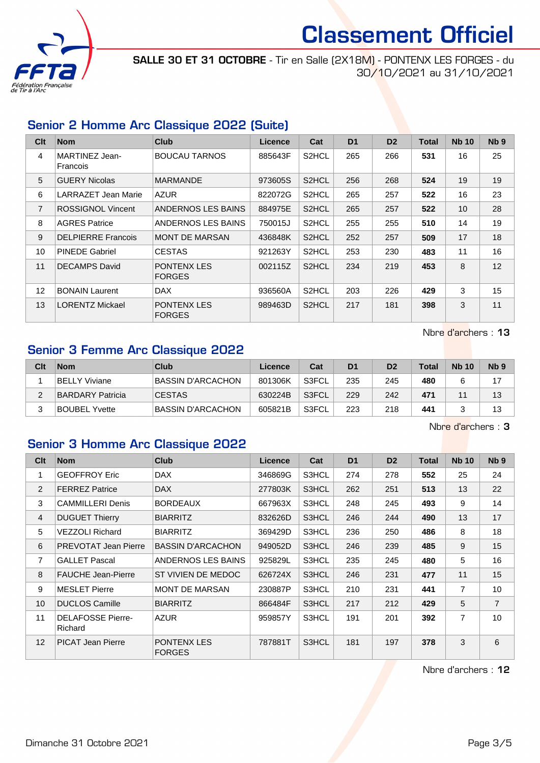

SALLE 30 ET 31 OCTOBRE - Tir en Salle (2X18M) - PONTENX LES FORGES - du 30/10/2021 au 31/10/2021

## Senior 2 Homme Arc Classique 2022 (Suite)

| Clt            | <b>Nom</b>                 | Club                                | <b>Licence</b> | Cat                | D <sub>1</sub> | D <sub>2</sub> | <b>Total</b> | <b>Nb 10</b> | Nb <sub>9</sub> |
|----------------|----------------------------|-------------------------------------|----------------|--------------------|----------------|----------------|--------------|--------------|-----------------|
| 4              | MARTINEZ Jean-<br>Francois | <b>BOUCAU TARNOS</b>                | 885643F        | S2HCL              | 265            | 266            | 531          | 16           | 25              |
| 5              | <b>GUERY Nicolas</b>       | <b>MARMANDE</b>                     | 973605S        | S2HCL              | 256            | 268            | 524          | 19           | 19              |
| 6              | LARRAZET Jean Marie        | <b>AZUR</b>                         | 822072G        | S <sub>2</sub> HCL | 265            | 257            | 522          | 16           | 23              |
| $\overline{7}$ | <b>ROSSIGNOL Vincent</b>   | ANDERNOS LES BAINS                  | 884975E        | S2HCL              | 265            | 257            | 522          | 10           | 28              |
| 8              | <b>AGRES Patrice</b>       | ANDERNOS LES BAINS                  | 750015J        | S <sub>2</sub> HCL | 255            | 255            | 510          | 14           | 19              |
| 9              | <b>DELPIERRE Francois</b>  | <b>MONT DE MARSAN</b>               | 436848K        | S2HCL              | 252            | 257            | 509          | 17           | 18              |
| 10             | <b>PINEDE Gabriel</b>      | <b>CESTAS</b>                       | 921263Y        | S2HCL              | 253            | 230            | 483          | 11           | 16              |
| 11             | <b>DECAMPS David</b>       | <b>PONTENX LES</b><br><b>FORGES</b> | 002115Z        | S <sub>2</sub> HCL | 234            | 219            | 453          | 8            | 12              |
| 12             | <b>BONAIN Laurent</b>      | <b>DAX</b>                          | 936560A        | S <sub>2</sub> HCL | 203            | 226            | 429          | 3            | 15              |
| 13             | <b>LORENTZ Mickael</b>     | <b>PONTENX LES</b><br><b>FORGES</b> | 989463D        | S <sub>2</sub> HCL | 217            | 181            | 398          | 3            | 11              |

Nbre d'archers : 13

## Senior 3 Femme Arc Classique 2022

| Clt | <b>Nom</b>              | Club                     | Licence | Cat   | D <sub>1</sub> | D <sub>2</sub> | <b>Total</b> | <b>Nb 10</b> | N <sub>b</sub> <sub>9</sub> |
|-----|-------------------------|--------------------------|---------|-------|----------------|----------------|--------------|--------------|-----------------------------|
|     | <b>BELLY Viviane</b>    | <b>BASSIN D'ARCACHON</b> | 801306K | S3FCL | 235            | 245            | 480          |              | 17                          |
|     | <b>BARDARY Patricia</b> | <b>CESTAS</b>            | 630224B | S3FCL | 229            | 242            | 471          |              | 13                          |
|     | <b>BOUBEL Yvette</b>    | <b>BASSIN D'ARCACHON</b> | 605821B | S3FCL | 223            | 218            | 441          |              | 13                          |

Nbre d'archers : 3

#### Senior 3 Homme Arc Classique 2022

| Clt             | <b>Nom</b>                          | <b>Club</b>                  | Licence | Cat   | D <sub>1</sub> | D <sub>2</sub> | <b>Total</b> | <b>Nb 10</b>   | N <sub>b</sub> <sub>9</sub> |
|-----------------|-------------------------------------|------------------------------|---------|-------|----------------|----------------|--------------|----------------|-----------------------------|
| 1               | <b>GEOFFROY Eric</b>                | <b>DAX</b>                   | 346869G | S3HCL | 274            | 278            | 552          | 25             | 24                          |
| 2               | <b>FERREZ Patrice</b>               | <b>DAX</b>                   | 277803K | S3HCL | 262            | 251            | 513          | 13             | 22                          |
| 3               | <b>CAMMILLERI Denis</b>             | <b>BORDEAUX</b>              | 667963X | S3HCL | 248            | 245            | 493          | 9              | 14                          |
| $\overline{4}$  | <b>DUGUET Thierry</b>               | <b>BIARRITZ</b>              | 832626D | S3HCL | 246            | 244            | 490          | 13             | 17                          |
| 5               | <b>VEZZOLI Richard</b>              | <b>BIARRITZ</b>              | 369429D | S3HCL | 236            | 250            | 486          | 8              | 18                          |
| 6               | <b>PREVOTAT Jean Pierre</b>         | <b>BASSIN D'ARCACHON</b>     | 949052D | S3HCL | 246            | 239            | 485          | 9              | 15                          |
| $\overline{7}$  | <b>GALLET Pascal</b>                | ANDERNOS LES BAINS           | 925829L | S3HCL | 235            | 245            | 480          | 5              | 16                          |
| 8               | <b>FAUCHE Jean-Pierre</b>           | ST VIVIEN DE MEDOC           | 626724X | S3HCL | 246            | 231            | 477          | 11             | 15                          |
| 9               | <b>MESLET Pierre</b>                | <b>MONT DE MARSAN</b>        | 230887P | S3HCL | 210            | 231            | 441          | $\overline{7}$ | 10 <sup>°</sup>             |
| 10 <sup>°</sup> | <b>DUCLOS Camille</b>               | <b>BIARRITZ</b>              | 866484F | S3HCL | 217            | 212            | 429          | 5              | $\overline{7}$              |
| 11              | <b>DELAFOSSE Pierre-</b><br>Richard | <b>AZUR</b>                  | 959857Y | S3HCL | 191            | 201            | 392          | $\overline{7}$ | 10                          |
| 12              | <b>PICAT Jean Pierre</b>            | PONTENX LES<br><b>FORGES</b> | 787881T | S3HCL | 181            | 197            | 378          | 3              | 6                           |

Nbre d'archers : 12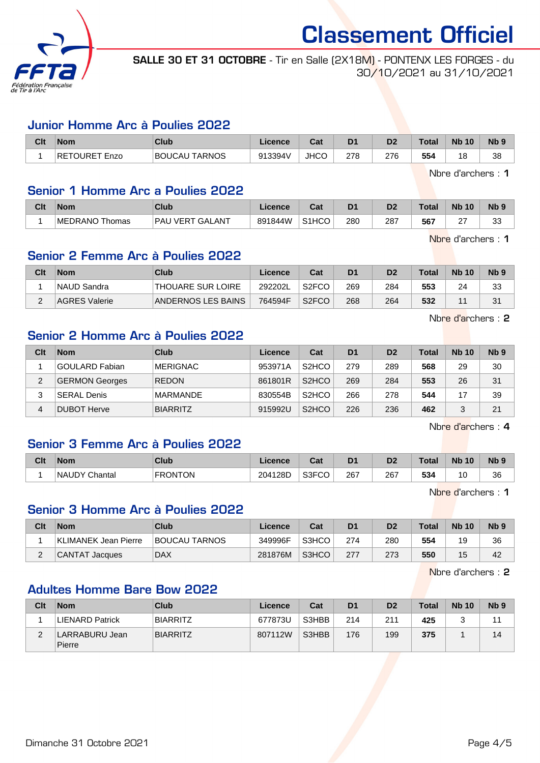

SALLE 30 ET 31 OCTOBRE - Tir en Salle (2X18M) - PONTENX LES FORGES - du 30/10/2021 au 31/10/2021

#### Junior Homme Arc à Poulies 2022

| Clt | <b>Nom</b>           | Club                 | Licence | ◠∼<br>ual   | D <sub>1</sub> | D <sub>2</sub> | <b>Total</b> | <b>N<sub>b</sub></b><br>10 | N <sub>b</sub> <sub>9</sub> |
|-----|----------------------|----------------------|---------|-------------|----------------|----------------|--------------|----------------------------|-----------------------------|
|     | <b>RETOURET Enzo</b> | <b>BOUCAU TARNOS</b> | 913394V | <b>JHCC</b> | 278            | 276            | 554          |                            | 38                          |

Nbre d'archers : 1

#### Senior 1 Homme Arc a Poulies 2022

| Clt | Nom            | Club                             | Licence | r.,<br>va          | D <sub>1</sub> | D <sub>2</sub> | <b>Total</b> | <b>Nb 10</b>       | <b>N<sub>b</sub></b> |
|-----|----------------|----------------------------------|---------|--------------------|----------------|----------------|--------------|--------------------|----------------------|
|     | MEDRANO Thomas | <b>VERT GALANT</b><br><b>PAU</b> | 891844W | S <sub>1</sub> HCO | 280            | 287            | 567          | $\sim$<br><u>.</u> | $\sim$<br>ູບປ        |

Nbre d'archers : 1

## Senior 2 Femme Arc à Poulies 2022

| Clt | <b>Nom</b>           | Club                     | Licence | Cat                | D <sub>1</sub> | D <sub>2</sub> | $\tau$ otal | <b>Nb 10</b> | N <sub>b</sub> <sub>9</sub> |
|-----|----------------------|--------------------------|---------|--------------------|----------------|----------------|-------------|--------------|-----------------------------|
|     | ∣NAUD Sandra         | <b>THOUARE SUR LOIRE</b> | 292202L | S <sub>2</sub> FCO | 269            | 284            | 553         | 24           | 33                          |
| ⌒   | <b>AGRES Valerie</b> | ANDERNOS LES BAINS       | 764594F | S <sub>2</sub> FCO | 268            | 264            | 532         | A .          | 31                          |

Nbre d'archers : 2

## Senior 2 Homme Arc à Poulies 2022

| Clt | <b>Nom</b>            | Club            | Licence | Cat                             | D <sub>1</sub> | D <sub>2</sub> | Total | <b>Nb 10</b> | Nb <sub>9</sub> |
|-----|-----------------------|-----------------|---------|---------------------------------|----------------|----------------|-------|--------------|-----------------|
|     | <b>GOULARD Fabian</b> | <b>MERIGNAC</b> | 953971A | S <sub>2</sub> HCO              | 279            | 289            | 568   | 29           | 30              |
| 2   | <b>GERMON Georges</b> | <b>REDON</b>    | 861801R | S <sub>2</sub> HCO              | 269            | 284            | 553   | 26           | 31              |
|     | ⊺SERAL Denis          | <b>MARMANDE</b> | 830554B | S <sub>2</sub> HCO              | 266            | 278            | 544   | 17           | 39              |
| 4   | DUBOT Herve           | <b>BIARRITZ</b> | 915992U | S <sub>2</sub> H <sub>C</sub> O | 226            | 236            | 462   | 2            | 21              |

Nbre d'archers : 4

## Senior 3 Femme Arc à Poulies 2022

| Clt | <b>Nom</b>           | Club           | .icence | ◠孪<br>⊍a. | D <sub>1</sub> | D <sub>2</sub> | <b>Total</b> | <b>N<sub>b</sub></b><br>10 | <b>N<sub>b</sub></b> |
|-----|----------------------|----------------|---------|-----------|----------------|----------------|--------------|----------------------------|----------------------|
|     | <b>NAUDY Chantal</b> | <b>FRONTON</b> | 204128D | S3FCO     | 267<br>$\sim$  | 267<br>$\sim$  | 534          | 10<br>$\sim$               | 36                   |

Nbre d'archers : 1

#### Senior 3 Homme Arc à Poulies 2022

| Clt | <b>Nom</b>            | Club          | Licence | Cat   | D1   | D <sub>2</sub> | <b>Total</b> | <b>Nb 10</b> | Nb <sub>9</sub> |
|-----|-----------------------|---------------|---------|-------|------|----------------|--------------|--------------|-----------------|
|     | KLIMANEK Jean Pierre  | BOUCAU TARNOS | 349996F | S3HCO | 274  | 280            | 554          | 19           | 36              |
|     | <b>CANTAT Jacques</b> | <b>DAX</b>    | 281876M | S3HCO | -277 | 273            | 550          | 15           | 42              |

Nbre d'archers : 2

## Adultes Homme Bare Bow 2022

| Clt      | <b>Nom</b>               | Club            | Licence | Cat   | D <sub>1</sub> | D <sub>2</sub> | <b>Total</b> | <b>Nb 10</b> | N <sub>b</sub> <sub>9</sub> |
|----------|--------------------------|-----------------|---------|-------|----------------|----------------|--------------|--------------|-----------------------------|
|          | <b>LIENARD Patrick</b>   | <b>BIARRITZ</b> | 677873U | S3HBB | 214            | 211            | 425          |              |                             |
| <u>_</u> | LARRABURU Jean<br>Pierre | <b>BIARRITZ</b> | 807112W | S3HBB | 176            | 199            | 375          |              | 14                          |